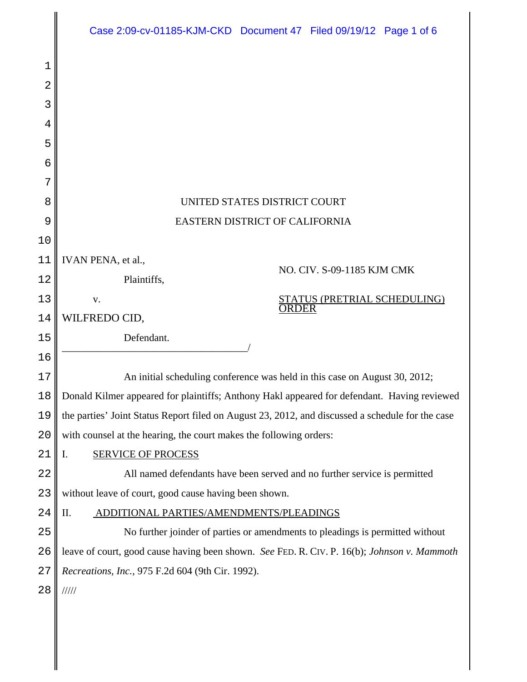|        | Case 2:09-cv-01185-KJM-CKD Document 47 Filed 09/19/12 Page 1 of 6                                |
|--------|--------------------------------------------------------------------------------------------------|
| 1      |                                                                                                  |
| 2      |                                                                                                  |
| 3      |                                                                                                  |
| 4      |                                                                                                  |
| 5      |                                                                                                  |
| 6      |                                                                                                  |
| 7      |                                                                                                  |
| 8      | UNITED STATES DISTRICT COURT                                                                     |
| 9      | EASTERN DISTRICT OF CALIFORNIA                                                                   |
| 10     |                                                                                                  |
| 11     | IVAN PENA, et al.,<br>NO. CIV. S-09-1185 KJM CMK                                                 |
| 12     | Plaintiffs,                                                                                      |
| 13     | STATUS (PRETRIAL SCHEDULING)<br>V.<br><b>ORDER</b>                                               |
| 14     | WILFREDO CID,                                                                                    |
| 15     | Defendant.                                                                                       |
| 16     |                                                                                                  |
| 17     | An initial scheduling conference was held in this case on August 30, 2012;                       |
| $1\,8$ | Donald Kilmer appeared for plaintiffs; Anthony Hakl appeared for defendant. Having reviewed      |
| 19     | the parties' Joint Status Report filed on August 23, 2012, and discussed a schedule for the case |
| 20     | with counsel at the hearing, the court makes the following orders:                               |
| 21     | <b>SERVICE OF PROCESS</b><br>I.                                                                  |
| 22     | All named defendants have been served and no further service is permitted                        |
| 23     | without leave of court, good cause having been shown.                                            |
| 24     | Π.<br>ADDITIONAL PARTIES/AMENDMENTS/PLEADINGS                                                    |
| 25     | No further joinder of parties or amendments to pleadings is permitted without                    |
| 26     | leave of court, good cause having been shown. See FED. R. CIV. P. 16(b); Johnson v. Mammoth      |
| 27     | Recreations, Inc., 975 F.2d 604 (9th Cir. 1992).                                                 |
| 28     | 11111                                                                                            |
|        |                                                                                                  |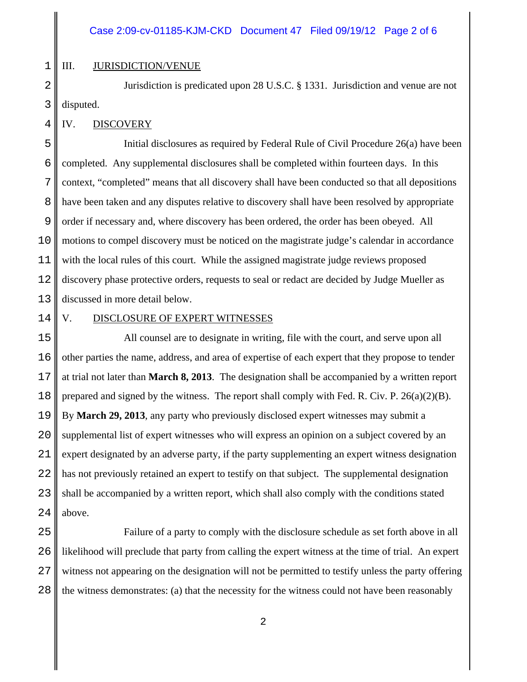#### III. JURISDICTION/VENUE

2 3 Jurisdiction is predicated upon 28 U.S.C. § 1331. Jurisdiction and venue are not disputed.

#### IV. DISCOVERY

5 6 7 8 9 10 11 12 13 Initial disclosures as required by Federal Rule of Civil Procedure 26(a) have been completed. Any supplemental disclosures shall be completed within fourteen days. In this context, "completed" means that all discovery shall have been conducted so that all depositions have been taken and any disputes relative to discovery shall have been resolved by appropriate order if necessary and, where discovery has been ordered, the order has been obeyed. All motions to compel discovery must be noticed on the magistrate judge's calendar in accordance with the local rules of this court. While the assigned magistrate judge reviews proposed discovery phase protective orders, requests to seal or redact are decided by Judge Mueller as discussed in more detail below.

14

1

4

#### V. DISCLOSURE OF EXPERT WITNESSES

15 16 17 18 19 20 21 22 23 24 All counsel are to designate in writing, file with the court, and serve upon all other parties the name, address, and area of expertise of each expert that they propose to tender at trial not later than **March 8, 2013**. The designation shall be accompanied by a written report prepared and signed by the witness. The report shall comply with Fed. R. Civ. P. 26(a)(2)(B). By **March 29, 2013**, any party who previously disclosed expert witnesses may submit a supplemental list of expert witnesses who will express an opinion on a subject covered by an expert designated by an adverse party, if the party supplementing an expert witness designation has not previously retained an expert to testify on that subject. The supplemental designation shall be accompanied by a written report, which shall also comply with the conditions stated above.

25 26 27 28 Failure of a party to comply with the disclosure schedule as set forth above in all likelihood will preclude that party from calling the expert witness at the time of trial. An expert witness not appearing on the designation will not be permitted to testify unless the party offering the witness demonstrates: (a) that the necessity for the witness could not have been reasonably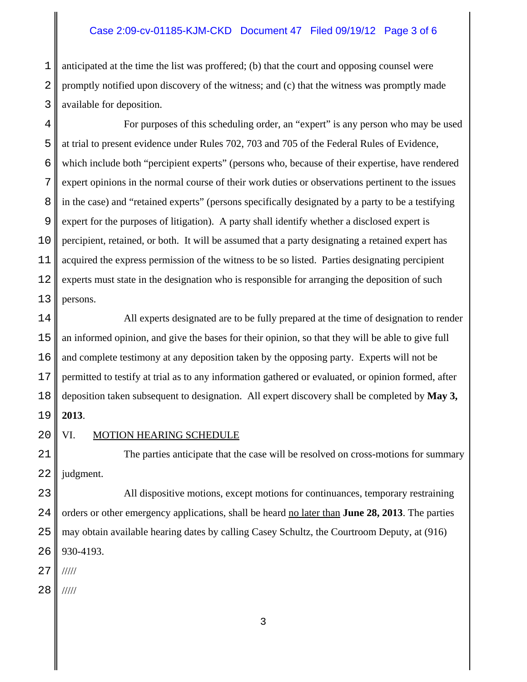#### Case 2:09-cv-01185-KJM-CKD Document 47 Filed 09/19/12 Page 3 of 6

1 2 3 anticipated at the time the list was proffered; (b) that the court and opposing counsel were promptly notified upon discovery of the witness; and (c) that the witness was promptly made available for deposition.

4 5 6 7 8 9 10 11 12 13 For purposes of this scheduling order, an "expert" is any person who may be used at trial to present evidence under Rules 702, 703 and 705 of the Federal Rules of Evidence, which include both "percipient experts" (persons who, because of their expertise, have rendered expert opinions in the normal course of their work duties or observations pertinent to the issues in the case) and "retained experts" (persons specifically designated by a party to be a testifying expert for the purposes of litigation). A party shall identify whether a disclosed expert is percipient, retained, or both. It will be assumed that a party designating a retained expert has acquired the express permission of the witness to be so listed. Parties designating percipient experts must state in the designation who is responsible for arranging the deposition of such persons.

14 15 16 17 18 19 All experts designated are to be fully prepared at the time of designation to render an informed opinion, and give the bases for their opinion, so that they will be able to give full and complete testimony at any deposition taken by the opposing party. Experts will not be permitted to testify at trial as to any information gathered or evaluated, or opinion formed, after deposition taken subsequent to designation. All expert discovery shall be completed by **May 3, 2013**.

20

#### VI. MOTION HEARING SCHEDULE

21 22 The parties anticipate that the case will be resolved on cross-motions for summary judgment.

23 24 25 26 All dispositive motions, except motions for continuances, temporary restraining orders or other emergency applications, shall be heard no later than **June 28, 2013**. The parties may obtain available hearing dates by calling Casey Schultz, the Courtroom Deputy, at (916) 930-4193.

27 /////

28 /////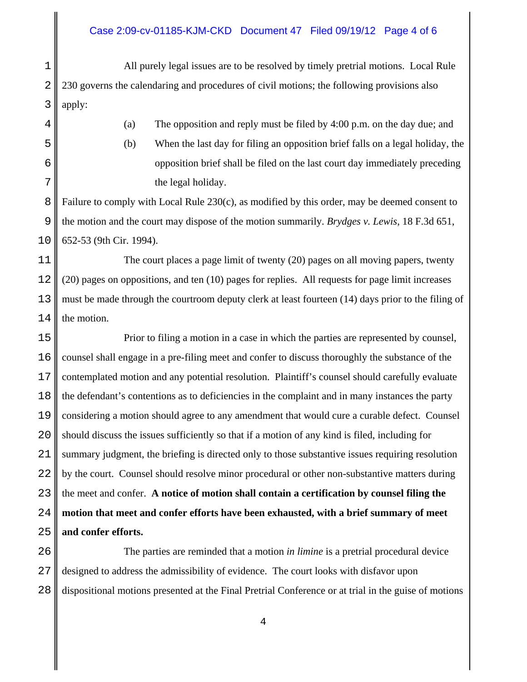#### Case 2:09-cv-01185-KJM-CKD Document 47 Filed 09/19/12 Page 4 of 6

1 All purely legal issues are to be resolved by timely pretrial motions. Local Rule 230 governs the calendaring and procedures of civil motions; the following provisions also apply:

- (a) The opposition and reply must be filed by 4:00 p.m. on the day due; and
- (b) When the last day for filing an opposition brief falls on a legal holiday, the opposition brief shall be filed on the last court day immediately preceding the legal holiday.

Failure to comply with Local Rule 230(c), as modified by this order, may be deemed consent to the motion and the court may dispose of the motion summarily. *Brydges v. Lewis*, 18 F.3d 651, 652-53 (9th Cir. 1994).

The court places a page limit of twenty (20) pages on all moving papers, twenty (20) pages on oppositions, and ten (10) pages for replies. All requests for page limit increases must be made through the courtroom deputy clerk at least fourteen (14) days prior to the filing of the motion.

Prior to filing a motion in a case in which the parties are represented by counsel, counsel shall engage in a pre-filing meet and confer to discuss thoroughly the substance of the contemplated motion and any potential resolution. Plaintiff's counsel should carefully evaluate the defendant's contentions as to deficiencies in the complaint and in many instances the party considering a motion should agree to any amendment that would cure a curable defect. Counsel should discuss the issues sufficiently so that if a motion of any kind is filed, including for summary judgment, the briefing is directed only to those substantive issues requiring resolution by the court. Counsel should resolve minor procedural or other non-substantive matters during the meet and confer. **A notice of motion shall contain a certification by counsel filing the motion that meet and confer efforts have been exhausted, with a brief summary of meet and confer efforts.**

The parties are reminded that a motion *in limine* is a pretrial procedural device designed to address the admissibility of evidence. The court looks with disfavor upon dispositional motions presented at the Final Pretrial Conference or at trial in the guise of motions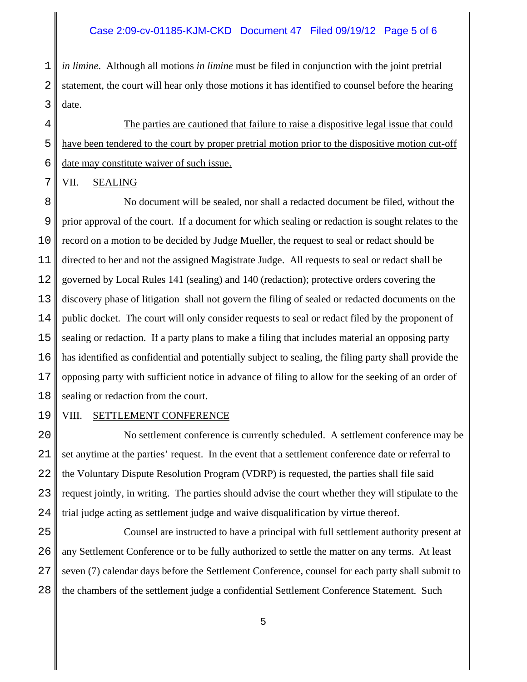1 2 *in limine*. Although all motions *in limine* must be filed in conjunction with the joint pretrial statement, the court will hear only those motions it has identified to counsel before the hearing date.

The parties are cautioned that failure to raise a dispositive legal issue that could have been tendered to the court by proper pretrial motion prior to the dispositive motion cut-off date may constitute waiver of such issue.

VII. SEALING

No document will be sealed, nor shall a redacted document be filed, without the prior approval of the court. If a document for which sealing or redaction is sought relates to the record on a motion to be decided by Judge Mueller, the request to seal or redact should be directed to her and not the assigned Magistrate Judge. All requests to seal or redact shall be governed by Local Rules 141 (sealing) and 140 (redaction); protective orders covering the discovery phase of litigation shall not govern the filing of sealed or redacted documents on the public docket. The court will only consider requests to seal or redact filed by the proponent of sealing or redaction. If a party plans to make a filing that includes material an opposing party has identified as confidential and potentially subject to sealing, the filing party shall provide the opposing party with sufficient notice in advance of filing to allow for the seeking of an order of sealing or redaction from the court.

#### VIII. SETTLEMENT CONFERENCE

No settlement conference is currently scheduled. A settlement conference may be set anytime at the parties' request. In the event that a settlement conference date or referral to the Voluntary Dispute Resolution Program (VDRP) is requested, the parties shall file said request jointly, in writing. The parties should advise the court whether they will stipulate to the trial judge acting as settlement judge and waive disqualification by virtue thereof.

Counsel are instructed to have a principal with full settlement authority present at any Settlement Conference or to be fully authorized to settle the matter on any terms. At least seven (7) calendar days before the Settlement Conference, counsel for each party shall submit to the chambers of the settlement judge a confidential Settlement Conference Statement. Such